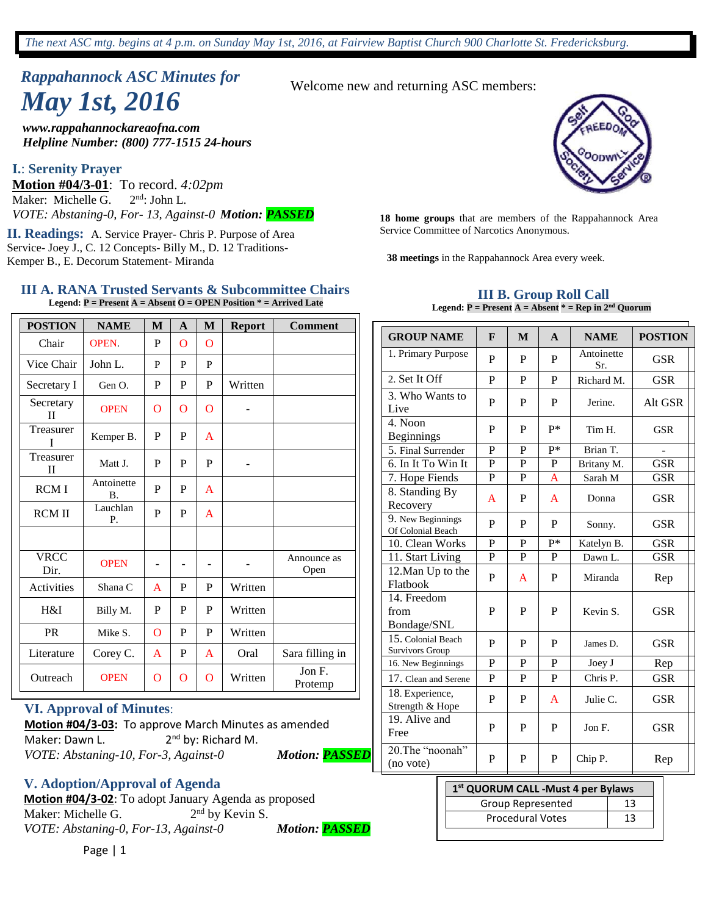# *Rappahannock ASC Minutes for May 1st, 2016*

*www.rappahannockareaofna.com Helpline Number: (800) 777-1515 24-hours*

#### **I.**: **Serenity Prayer**

**Motion #04/3-01**: To record. *4:02pm*  Maker: Michelle  $\overline{G}$ .  $2^{nd}$ : John L. *VOTE: Abstaning-0, For- 13, Against-0 Motion: PASSED* **<sup>18</sup> home groups** that are members of the Rappahannock Area

Service Committee of Narcotics Anonymous. **II. Readings:** A. Service Prayer- Chris P. Purpose of Area Service- Joey J., C. 12 Concepts- Billy M., D. 12 Traditions-Kemper B., E. Decorum Statement- Miranda **38 meetings** in the Rappahannock Area every week.

#### **III A. RANA Trusted Servants & Subcommittee Chairs Legend: P = Present A = Absent O = OPEN Position \* = Arrived Late**

| <b>POSTION</b>            | <b>NAME</b>             | M              | A | M              | <b>Report</b> | <b>Comment</b>      |
|---------------------------|-------------------------|----------------|---|----------------|---------------|---------------------|
| Chair                     | <b>OPEN</b>             | P              | O | $\overline{O}$ |               |                     |
| Vice Chair                | John L.                 | P              | P | P              |               |                     |
| Secretary I               | Gen O.                  | P              | P | P              | Written       |                     |
| Secretary<br>$\mathbf{I}$ | <b>OPEN</b>             | $\overline{O}$ | O | $\overline{O}$ | -             |                     |
| Treasurer<br>T            | Kemper B.               | P              | P | $\mathsf{A}$   |               |                     |
| Treasurer<br>$\mathbf{I}$ | Matt J.                 | P              | P | P              |               |                     |
| <b>RCMI</b>               | Antoinette<br><b>B.</b> | P              | P | $\mathsf{A}$   |               |                     |
| <b>RCM II</b>             | Lauchlan<br>Р.          | P              | P | $\mathsf{A}$   |               |                     |
|                           |                         |                |   |                |               |                     |
| <b>VRCC</b><br>Dir.       | <b>OPEN</b>             |                | ۰ |                |               | Announce as<br>Open |
| Activities                | Shana C                 | A              | P | P              | Written       |                     |
| H&I                       | Billy M.                | P              | P | P              | Written       |                     |
| <b>PR</b>                 | Mike S.                 | $\Omega$       | P | P              | Written       |                     |
| Literature                | Corey C.                | A              | P | $\mathsf{A}$   | Oral          | Sara filling in     |
| Outreach                  | <b>OPEN</b>             | $\overline{O}$ | O | O              | Written       | Jon F.<br>Protemp   |

#### **VI. Approval of Minutes**:

**Motion #04/3-03:** To approve March Minutes as amended Maker: Dawn L. 2<sup>nd</sup> by: Richard M. *VOTE: Abstaning-10, For-3, Against-0 Motion: PASSED*

**V. Adoption/Approval of Agenda**

**Motion #04/3-02**: To adopt January Agenda as proposed Maker: Michelle G.  $2<sup>nd</sup>$  by Kevin S. *VOTE: Abstaning-0, For-13, Against-0 Motion: PASSED*

Welcome new and returning ASC members:



#### **III B. Group Roll Call Legend: P = Present A = Absent \* = Rep in 2nd Quorum**

| <b>GROUP NAME</b>                            | F            | M           | $\mathbf{A}$ | <b>NAME</b>       | <b>POSTION</b> |
|----------------------------------------------|--------------|-------------|--------------|-------------------|----------------|
| 1. Primary Purpose                           | P            | P           | P            | Antoinette<br>Sr. | <b>GSR</b>     |
| 2. Set It Off                                | P            | P           | $\mathbf{P}$ | Richard M.        | <b>GSR</b>     |
| 3. Who Wants to<br>Live                      | P            | P           | P            | Jerine.           | Alt GSR        |
| 4. Noon<br><b>Beginnings</b>                 | P            | P           | $P*$         | Tim H.            | <b>GSR</b>     |
| 5. Final Surrender                           | $\mathbf{P}$ | P           | p*           | Brian T.          |                |
| 6. In It To Win It                           | P            | P           | P            | Britany M.        | <b>GSR</b>     |
| 7. Hope Fiends                               | P            | $\mathbf P$ | A            | Sarah M           | <b>GSR</b>     |
| 8. Standing By<br>Recovery                   | A            | P           | A            | Donna             | <b>GSR</b>     |
| 9. New Beginnings<br>Of Colonial Beach       | P            | P           | P            | Sonny.            | <b>GSR</b>     |
| 10. Clean Works                              | $\mathbf{P}$ | P           | p*           | Katelyn B.        | <b>GSR</b>     |
| 11. Start Living                             | P            | P           | P            | Dawn L.           | <b>GSR</b>     |
| 12. Man Up to the<br>Flatbook                | P            | A           | P            | Miranda           | Rep            |
| 14. Freedom<br>from<br>Bondage/SNL           | P            | P           | P            | Kevin S.          | <b>GSR</b>     |
| 15. Colonial Beach<br><b>Survivors Group</b> | P            | P           | P            | James D.          | <b>GSR</b>     |
| 16. New Beginnings                           | $\mathbf{P}$ | P           | $\mathbf{P}$ | Joey J            | Rep            |
| 17. Clean and Serene                         | P            | P           | P            | Chris P.          | <b>GSR</b>     |
| 18. Experience,<br>Strength & Hope           | P            | P           | A            | Julie C.          | <b>GSR</b>     |
| 19. Alive and<br>Free                        | P            | P           | P            | Jon F.            | <b>GSR</b>     |
| 20. The "noonah"<br>(no vote)                | P            | P           | P            | Chip P.           | Rep            |

# **1 st QUORUM CALL -Must 4 per Bylaws** Group Represented | 13 Procedural Votes 13

Page | 1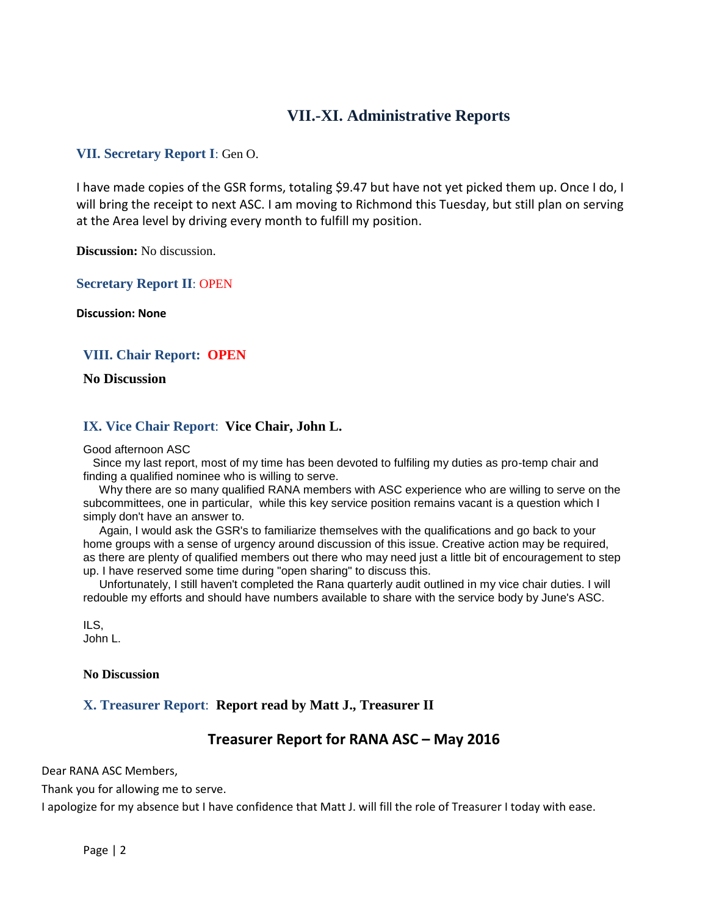# **VII.-XI. Administrative Reports**

## **VII. Secretary Report I**: Gen O.

I have made copies of the GSR forms, totaling \$9.47 but have not yet picked them up. Once I do, I will bring the receipt to next ASC. I am moving to Richmond this Tuesday, but still plan on serving at the Area level by driving every month to fulfill my position.

**Discussion:** No discussion.

**Secretary Report II**: OPEN

**Discussion: None**

## **VIII. Chair Report: OPEN**

**No Discussion**

## **IX. Vice Chair Report**: **Vice Chair, John L.**

#### Good afternoon ASC

Since my last report, most of my time has been devoted to fulfiling my duties as pro-temp chair and finding a qualified nominee who is willing to serve.

Why there are so many qualified RANA members with ASC experience who are willing to serve on the subcommittees, one in particular, while this key service position remains vacant is a question which I simply don't have an answer to.

Again, I would ask the GSR's to familiarize themselves with the qualifications and go back to your home groups with a sense of urgency around discussion of this issue. Creative action may be required, as there are plenty of qualified members out there who may need just a little bit of encouragement to step up. I have reserved some time during "open sharing" to discuss this.

Unfortunately, I still haven't completed the Rana quarterly audit outlined in my vice chair duties. I will redouble my efforts and should have numbers available to share with the service body by June's ASC.

ILS, John L.

#### **No Discussion**

## **X. Treasurer Report**: **Report read by Matt J., Treasurer II**

# **Treasurer Report for RANA ASC – May 2016**

Dear RANA ASC Members,

Thank you for allowing me to serve.

I apologize for my absence but I have confidence that Matt J. will fill the role of Treasurer I today with ease.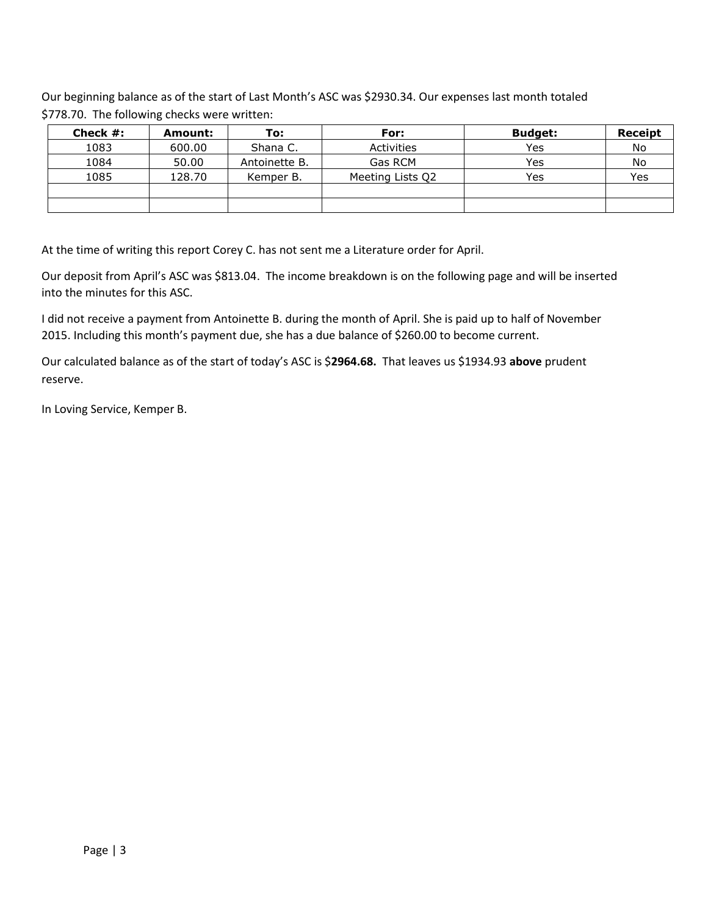Our beginning balance as of the start of Last Month's ASC was \$2930.34. Our expenses last month totaled \$778.70. The following checks were written:

| Check $#$ : | Amount: | To:           | For:             | <b>Budget:</b> | Receipt |
|-------------|---------|---------------|------------------|----------------|---------|
| 1083        | 600.00  | Shana C.      | Activities       | Yes            | No      |
| 1084        | 50.00   | Antoinette B. | Gas RCM          | Yes            | No      |
| 1085        | 128.70  | Kemper B.     | Meeting Lists Q2 | Yes            | Yes     |
|             |         |               |                  |                |         |
|             |         |               |                  |                |         |

At the time of writing this report Corey C. has not sent me a Literature order for April.

Our deposit from April's ASC was \$813.04. The income breakdown is on the following page and will be inserted into the minutes for this ASC.

I did not receive a payment from Antoinette B. during the month of April. She is paid up to half of November 2015. Including this month's payment due, she has a due balance of \$260.00 to become current.

Our calculated balance as of the start of today's ASC is \$**2964.68.** That leaves us \$1934.93 **above** prudent reserve.

In Loving Service, Kemper B.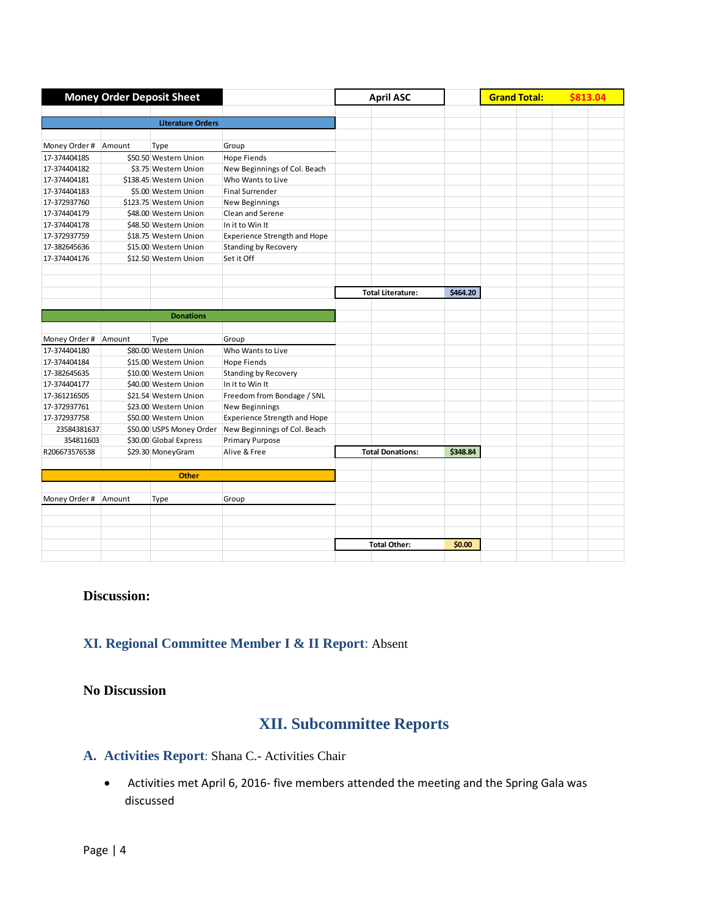| <b>Money Order Deposit Sheet</b> |        |                          | <b>April ASC</b>                                      |                          | <b>Grand Total:</b> | \$813.04 |  |  |
|----------------------------------|--------|--------------------------|-------------------------------------------------------|--------------------------|---------------------|----------|--|--|
|                                  |        |                          |                                                       |                          |                     |          |  |  |
|                                  |        | <b>Literature Orders</b> |                                                       |                          |                     |          |  |  |
|                                  |        |                          |                                                       |                          |                     |          |  |  |
| Money Order #                    | Amount | Type                     | Group                                                 |                          |                     |          |  |  |
| 17-374404185                     |        | \$50.50 Western Union    | <b>Hope Fiends</b>                                    |                          |                     |          |  |  |
| 17-374404182                     |        | \$3.75 Western Union     | New Beginnings of Col. Beach                          |                          |                     |          |  |  |
| 17-374404181                     |        | \$138.45 Western Union   | Who Wants to Live                                     |                          |                     |          |  |  |
| 17-374404183                     |        | \$5.00 Western Union     | <b>Final Surrender</b>                                |                          |                     |          |  |  |
| 17-372937760                     |        | \$123.75 Western Union   | <b>New Beginnings</b>                                 |                          |                     |          |  |  |
| 17-374404179                     |        | \$48.00 Western Union    | Clean and Serene                                      |                          |                     |          |  |  |
| 17-374404178                     |        | \$48.50 Western Union    | In it to Win It                                       |                          |                     |          |  |  |
| 17-372937759                     |        | \$18.75 Western Union    | <b>Experience Strength and Hope</b>                   |                          |                     |          |  |  |
| 17-382645636                     |        | \$15.00 Western Union    | <b>Standing by Recovery</b>                           |                          |                     |          |  |  |
| 17-374404176                     |        | \$12.50 Western Union    | Set it Off                                            |                          |                     |          |  |  |
|                                  |        |                          |                                                       |                          |                     |          |  |  |
|                                  |        |                          |                                                       |                          |                     |          |  |  |
|                                  |        |                          |                                                       | <b>Total Literature:</b> | \$464.20            |          |  |  |
|                                  |        |                          |                                                       |                          |                     |          |  |  |
|                                  |        | <b>Donations</b>         |                                                       |                          |                     |          |  |  |
|                                  |        |                          |                                                       |                          |                     |          |  |  |
| Money Order #                    | Amount | Type                     | Group                                                 |                          |                     |          |  |  |
| 17-374404180                     |        | \$80.00 Western Union    | Who Wants to Live                                     |                          |                     |          |  |  |
| 17-374404184                     |        | \$15.00 Western Union    | <b>Hope Fiends</b>                                    |                          |                     |          |  |  |
| 17-382645635                     |        | \$10.00 Western Union    | <b>Standing by Recovery</b>                           |                          |                     |          |  |  |
| 17-374404177                     |        | \$40.00 Western Union    | In it to Win It                                       |                          |                     |          |  |  |
| 17-361216505                     |        | \$21.54 Western Union    | Freedom from Bondage / SNL                            |                          |                     |          |  |  |
| 17-372937761                     |        | \$23.00 Western Union    | New Beginnings                                        |                          |                     |          |  |  |
| 17-372937758                     |        | \$50.00 Western Union    | <b>Experience Strength and Hope</b>                   |                          |                     |          |  |  |
| 23584381637                      |        |                          | \$50.00 USPS Money Order New Beginnings of Col. Beach |                          |                     |          |  |  |
| 354811603                        |        | \$30.00 Global Express   | <b>Primary Purpose</b>                                |                          |                     |          |  |  |
| R206673576538                    |        | \$29.30 MoneyGram        | Alive & Free                                          | <b>Total Donations:</b>  | \$348.84            |          |  |  |
|                                  |        |                          |                                                       |                          |                     |          |  |  |
|                                  |        | <b>Other</b>             |                                                       |                          |                     |          |  |  |
|                                  |        |                          |                                                       |                          |                     |          |  |  |
| Money Order #                    | Amount | Type                     | Group                                                 |                          |                     |          |  |  |
|                                  |        |                          |                                                       |                          |                     |          |  |  |
|                                  |        |                          |                                                       |                          |                     |          |  |  |
|                                  |        |                          |                                                       |                          |                     |          |  |  |
|                                  |        |                          |                                                       | <b>Total Other:</b>      | \$0.00              |          |  |  |
|                                  |        |                          |                                                       |                          |                     |          |  |  |

## **Discussion:**

# **XI. Regional Committee Member I & II Report**: Absent

## **No Discussion**

# **XII. Subcommittee Reports**

# **A. Activities Report**: Shana C.- Activities Chair

 Activities met April 6, 2016- five members attended the meeting and the Spring Gala was discussed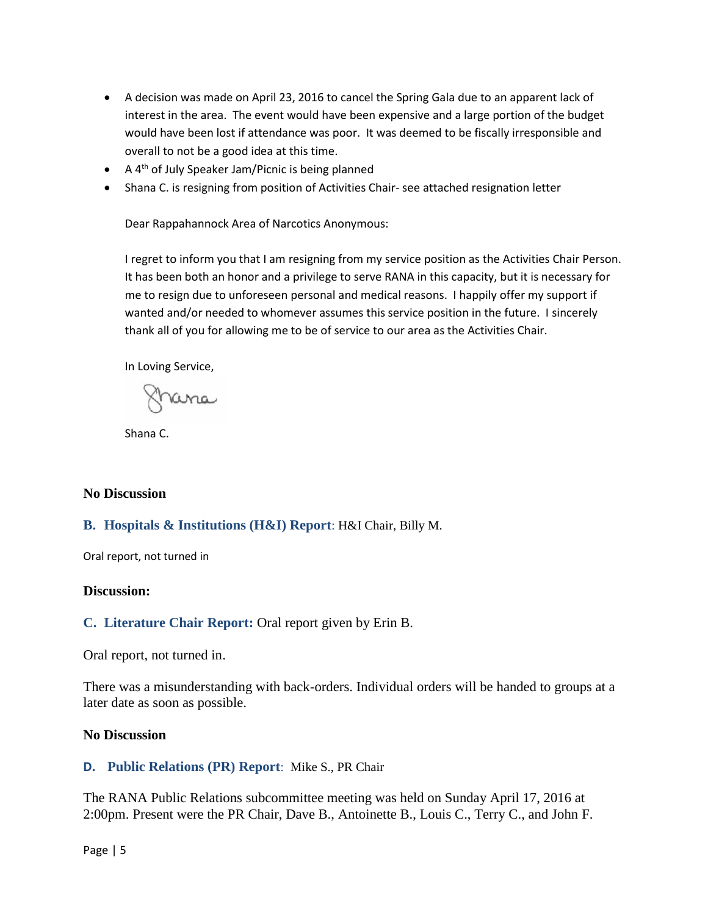- A decision was made on April 23, 2016 to cancel the Spring Gala due to an apparent lack of interest in the area. The event would have been expensive and a large portion of the budget would have been lost if attendance was poor. It was deemed to be fiscally irresponsible and overall to not be a good idea at this time.
- $\bullet$  A 4<sup>th</sup> of July Speaker Jam/Picnic is being planned
- Shana C. is resigning from position of Activities Chair- see attached resignation letter

Dear Rappahannock Area of Narcotics Anonymous:

I regret to inform you that I am resigning from my service position as the Activities Chair Person. It has been both an honor and a privilege to serve RANA in this capacity, but it is necessary for me to resign due to unforeseen personal and medical reasons. I happily offer my support if wanted and/or needed to whomever assumes this service position in the future. I sincerely thank all of you for allowing me to be of service to our area as the Activities Chair.

In Loving Service,

frana

Shana C.

#### **No Discussion**

#### **B. Hospitals & Institutions (H&I) Report**: H&I Chair, Billy M.

Oral report, not turned in

#### **Discussion:**

**C. Literature Chair Report:** Oral report given by Erin B.

Oral report, not turned in.

There was a misunderstanding with back-orders. Individual orders will be handed to groups at a later date as soon as possible.

#### **No Discussion**

#### **D. Public Relations (PR) Report**: Mike S., PR Chair

The RANA Public Relations subcommittee meeting was held on Sunday April 17, 2016 at 2:00pm. Present were the PR Chair, Dave B., Antoinette B., Louis C., Terry C., and John F.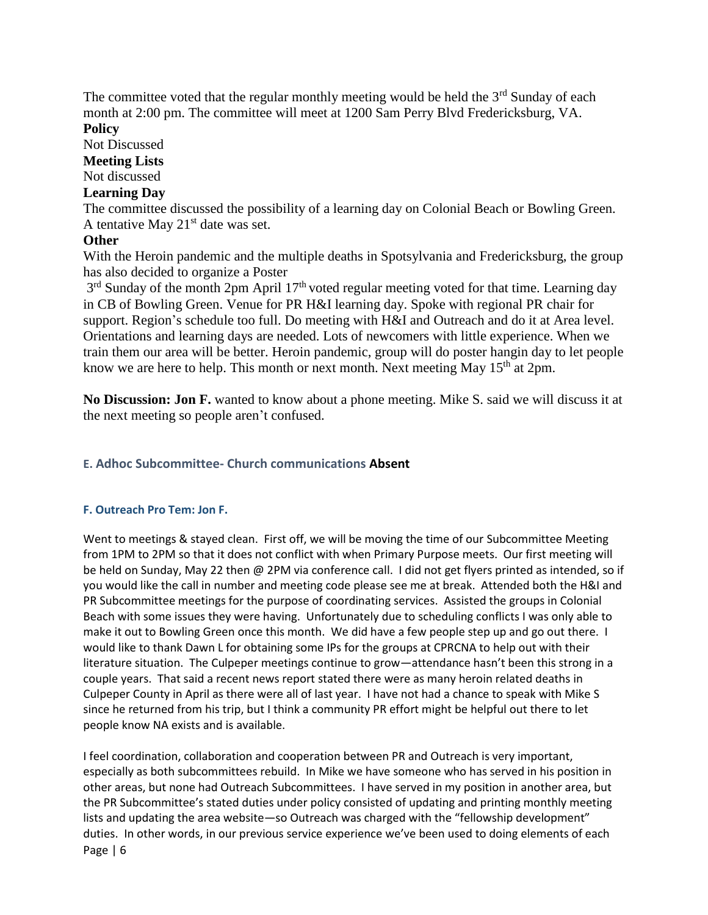The committee voted that the regular monthly meeting would be held the  $3<sup>rd</sup>$  Sunday of each month at 2:00 pm. The committee will meet at 1200 Sam Perry Blvd Fredericksburg, VA. **Policy**

Not Discussed

## **Meeting Lists**

Not discussed

## **Learning Day**

The committee discussed the possibility of a learning day on Colonial Beach or Bowling Green. A tentative May  $21<sup>st</sup>$  date was set.

## **Other**

With the Heroin pandemic and the multiple deaths in Spotsylvania and Fredericksburg, the group has also decided to organize a Poster

 $3<sup>rd</sup>$  Sunday of the month 2pm April 17<sup>th</sup> voted regular meeting voted for that time. Learning day in CB of Bowling Green. Venue for PR H&I learning day. Spoke with regional PR chair for support. Region's schedule too full. Do meeting with H&I and Outreach and do it at Area level. Orientations and learning days are needed. Lots of newcomers with little experience. When we train them our area will be better. Heroin pandemic, group will do poster hangin day to let people know we are here to help. This month or next month. Next meeting May  $15<sup>th</sup>$  at 2pm.

**No Discussion: Jon F.** wanted to know about a phone meeting. Mike S. said we will discuss it at the next meeting so people aren't confused.

## **E. Adhoc Subcommittee- Church communications Absent**

## **F. Outreach Pro Tem: Jon F.**

Went to meetings & stayed clean. First off, we will be moving the time of our Subcommittee Meeting from 1PM to 2PM so that it does not conflict with when Primary Purpose meets. Our first meeting will be held on Sunday, May 22 then @ 2PM via conference call. I did not get flyers printed as intended, so if you would like the call in number and meeting code please see me at break. Attended both the H&I and PR Subcommittee meetings for the purpose of coordinating services. Assisted the groups in Colonial Beach with some issues they were having. Unfortunately due to scheduling conflicts I was only able to make it out to Bowling Green once this month. We did have a few people step up and go out there. I would like to thank Dawn L for obtaining some IPs for the groups at CPRCNA to help out with their literature situation. The Culpeper meetings continue to grow—attendance hasn't been this strong in a couple years. That said a recent news report stated there were as many heroin related deaths in Culpeper County in April as there were all of last year. I have not had a chance to speak with Mike S since he returned from his trip, but I think a community PR effort might be helpful out there to let people know NA exists and is available.

Page | 6 I feel coordination, collaboration and cooperation between PR and Outreach is very important, especially as both subcommittees rebuild. In Mike we have someone who has served in his position in other areas, but none had Outreach Subcommittees. I have served in my position in another area, but the PR Subcommittee's stated duties under policy consisted of updating and printing monthly meeting lists and updating the area website—so Outreach was charged with the "fellowship development" duties. In other words, in our previous service experience we've been used to doing elements of each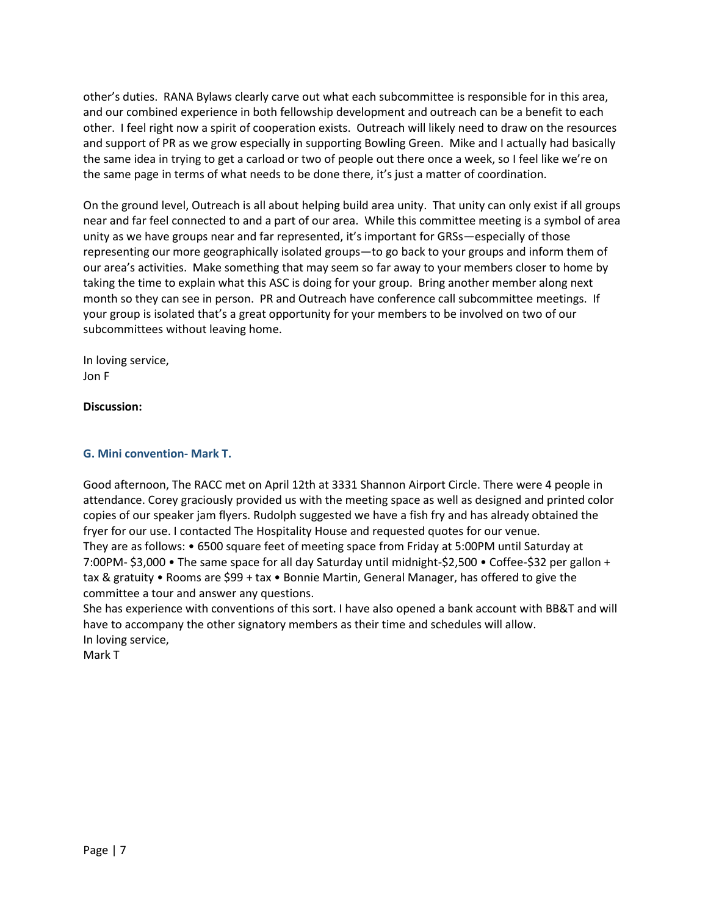other's duties. RANA Bylaws clearly carve out what each subcommittee is responsible for in this area, and our combined experience in both fellowship development and outreach can be a benefit to each other. I feel right now a spirit of cooperation exists. Outreach will likely need to draw on the resources and support of PR as we grow especially in supporting Bowling Green. Mike and I actually had basically the same idea in trying to get a carload or two of people out there once a week, so I feel like we're on the same page in terms of what needs to be done there, it's just a matter of coordination.

On the ground level, Outreach is all about helping build area unity. That unity can only exist if all groups near and far feel connected to and a part of our area. While this committee meeting is a symbol of area unity as we have groups near and far represented, it's important for GRSs—especially of those representing our more geographically isolated groups—to go back to your groups and inform them of our area's activities. Make something that may seem so far away to your members closer to home by taking the time to explain what this ASC is doing for your group. Bring another member along next month so they can see in person. PR and Outreach have conference call subcommittee meetings. If your group is isolated that's a great opportunity for your members to be involved on two of our subcommittees without leaving home.

In loving service, Jon F

#### **Discussion:**

#### **G. Mini convention- Mark T.**

Good afternoon, The RACC met on April 12th at 3331 Shannon Airport Circle. There were 4 people in attendance. Corey graciously provided us with the meeting space as well as designed and printed color copies of our speaker jam flyers. Rudolph suggested we have a fish fry and has already obtained the fryer for our use. I contacted The Hospitality House and requested quotes for our venue. They are as follows: • 6500 square feet of meeting space from Friday at 5:00PM until Saturday at 7:00PM- \$3,000 • The same space for all day Saturday until midnight-\$2,500 • Coffee-\$32 per gallon + tax & gratuity • Rooms are \$99 + tax • Bonnie Martin, General Manager, has offered to give the committee a tour and answer any questions.

She has experience with conventions of this sort. I have also opened a bank account with BB&T and will have to accompany the other signatory members as their time and schedules will allow. In loving service,

Mark T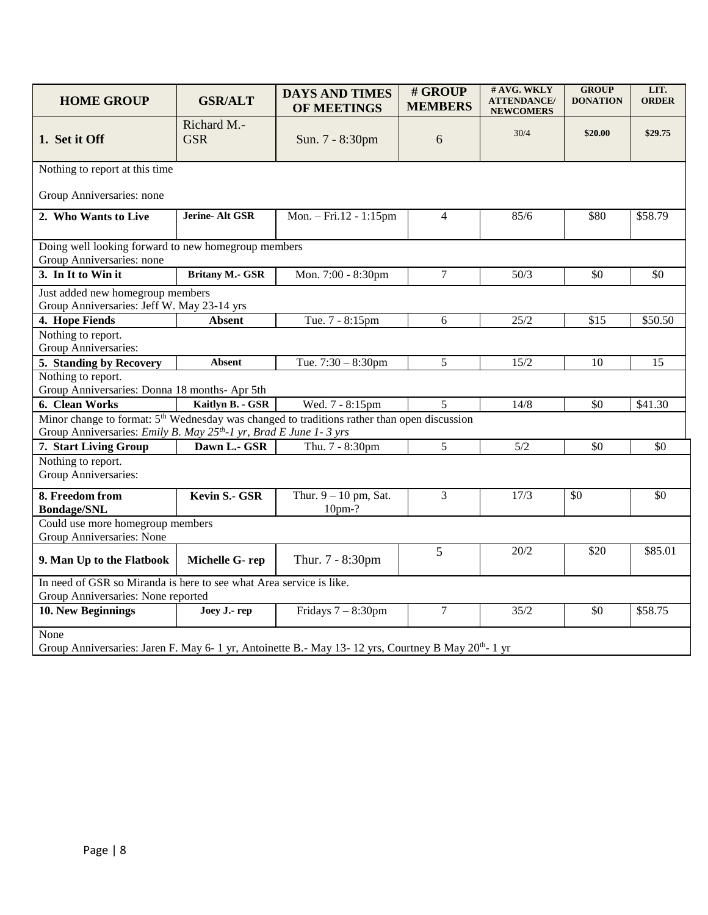| <b>HOME GROUP</b>                                                                                                                                                                        | <b>GSR/ALT</b>            | <b>DAYS AND TIMES</b><br><b>OF MEETINGS</b> | # GROUP<br><b>MEMBERS</b> | # AVG. WKLY<br><b>ATTENDANCE/</b><br><b>NEWCOMERS</b> | <b>GROUP</b><br><b>DONATION</b> | LIT.<br><b>ORDER</b> |  |  |  |  |
|------------------------------------------------------------------------------------------------------------------------------------------------------------------------------------------|---------------------------|---------------------------------------------|---------------------------|-------------------------------------------------------|---------------------------------|----------------------|--|--|--|--|
| 1. Set it Off                                                                                                                                                                            | Richard M.-<br><b>GSR</b> | Sun. 7 - 8:30pm                             | 6                         | 30/4                                                  | \$20.00                         | \$29.75              |  |  |  |  |
| Nothing to report at this time                                                                                                                                                           |                           |                                             |                           |                                                       |                                 |                      |  |  |  |  |
| Group Anniversaries: none                                                                                                                                                                |                           |                                             |                           |                                                       |                                 |                      |  |  |  |  |
| 2. Who Wants to Live                                                                                                                                                                     | Jerine- Alt GSR           | Mon. - Fri.12 - 1:15pm                      | $\overline{4}$            | 85/6                                                  | \$80                            | \$58.79              |  |  |  |  |
| Doing well looking forward to new homegroup members<br>Group Anniversaries: none                                                                                                         |                           |                                             |                           |                                                       |                                 |                      |  |  |  |  |
| 3. In It to Win it                                                                                                                                                                       | <b>Britany M.- GSR</b>    | Mon. 7:00 - 8:30pm                          | $\tau$                    | 50/3                                                  | \$0                             | \$0                  |  |  |  |  |
| Just added new homegroup members<br>Group Anniversaries: Jeff W. May 23-14 yrs                                                                                                           |                           |                                             |                           |                                                       |                                 |                      |  |  |  |  |
| 4. Hope Fiends                                                                                                                                                                           | <b>Absent</b>             | Tue. 7 - 8:15pm                             | 6                         | 25/2                                                  | $\overline{$15}$                | \$50.50              |  |  |  |  |
| Nothing to report.<br>Group Anniversaries:                                                                                                                                               |                           |                                             |                           |                                                       |                                 |                      |  |  |  |  |
| 5. Standing by Recovery                                                                                                                                                                  | <b>Absent</b>             | Tue. $7:30 - 8:30$ pm                       | 5                         | 15/2                                                  | 10                              | 15                   |  |  |  |  |
| Nothing to report.<br>Group Anniversaries: Donna 18 months- Apr 5th                                                                                                                      |                           |                                             |                           |                                                       |                                 |                      |  |  |  |  |
| 6. Clean Works                                                                                                                                                                           | Kaitlyn B. - GSR          | Wed. 7 - 8:15pm                             | 5                         | 14/8                                                  | \$0                             | \$41.30              |  |  |  |  |
| Minor change to format: 5 <sup>th</sup> Wednesday was changed to traditions rather than open discussion<br>Group Anniversaries: Emily B. May 25 <sup>th</sup> -1 yr, Brad E June 1-3 yrs |                           |                                             |                           |                                                       |                                 |                      |  |  |  |  |
| 7. Start Living Group                                                                                                                                                                    | Dawn L.- GSR              | Thu. 7 - 8:30pm                             | 5                         | 5/2                                                   | \$0                             | \$0                  |  |  |  |  |
| Nothing to report.<br>Group Anniversaries:                                                                                                                                               |                           |                                             |                           |                                                       |                                 |                      |  |  |  |  |
| 8. Freedom from<br><b>Bondage/SNL</b>                                                                                                                                                    | Kevin S.- GSR             | Thur. $9 - 10$ pm, Sat.<br>$10pm-?$         | 3                         | 17/3                                                  | \$0                             | \$0                  |  |  |  |  |
| Could use more homegroup members<br>Group Anniversaries: None                                                                                                                            |                           |                                             |                           |                                                       |                                 |                      |  |  |  |  |
| 9. Man Up to the Flatbook                                                                                                                                                                | Michelle G-rep            | Thur. 7 - 8:30pm                            | 5                         | 20/2                                                  | \$20                            | \$85.01              |  |  |  |  |
| In need of GSR so Miranda is here to see what Area service is like.<br>Group Anniversaries: None reported                                                                                |                           |                                             |                           |                                                       |                                 |                      |  |  |  |  |
| 10. New Beginnings                                                                                                                                                                       | Joey J.- rep              | Fridays $7 - 8:30$ pm                       | $7\phantom{.0}$           | 35/2                                                  | \$0                             | \$58.75              |  |  |  |  |
| None<br>Group Anniversaries: Jaren F. May 6- 1 yr, Antoinette B.- May 13- 12 yrs, Courtney B May 20 <sup>th</sup> - 1 yr                                                                 |                           |                                             |                           |                                                       |                                 |                      |  |  |  |  |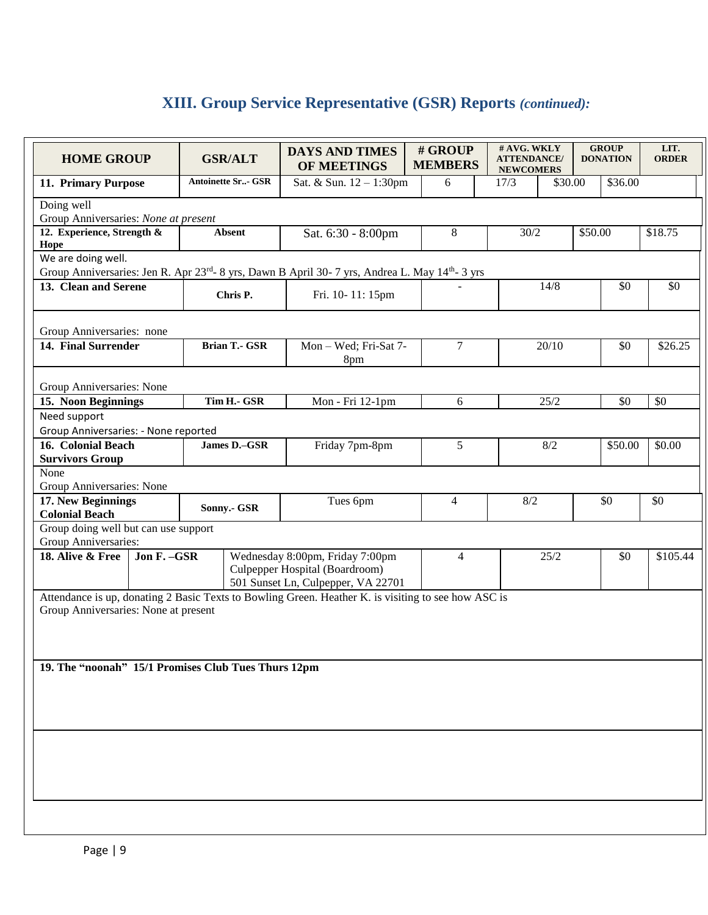# **XIII. Group Service Representative (GSR) Reports** *(continued):*

| <b>HOME GROUP</b>                                   |              |  | <b>GSR/ALT</b>            | <b>DAYS AND TIMES</b><br>OF MEETINGS                                                                                                      | # GROUP<br><b>MEMBERS</b> | # AVG. WKLY<br><b>ATTENDANCE/</b><br><b>NEWCOMERS</b> |         |         | <b>GROUP</b><br><b>DONATION</b> | LIT.<br><b>ORDER</b> |
|-----------------------------------------------------|--------------|--|---------------------------|-------------------------------------------------------------------------------------------------------------------------------------------|---------------------------|-------------------------------------------------------|---------|---------|---------------------------------|----------------------|
| 11. Primary Purpose                                 |              |  | <b>Antoinette Sr- GSR</b> | Sat. & Sun. 12 - 1:30pm                                                                                                                   | 6                         | 17/3                                                  | \$30.00 |         | \$36.00                         |                      |
| Doing well                                          |              |  |                           |                                                                                                                                           |                           |                                                       |         |         |                                 |                      |
| Group Anniversaries: None at present                |              |  |                           |                                                                                                                                           |                           |                                                       |         |         |                                 |                      |
| 12. Experience, Strength &<br>Hope                  |              |  | <b>Absent</b>             | Sat. 6:30 - 8:00pm                                                                                                                        | 8                         | 30/2                                                  |         | \$50.00 |                                 | \$18.75              |
| We are doing well.                                  |              |  |                           |                                                                                                                                           |                           |                                                       |         |         |                                 |                      |
| 13. Clean and Serene                                |              |  |                           | Group Anniversaries: Jen R. Apr 23rd- 8 yrs, Dawn B April 30- 7 yrs, Andrea L. May 14th- 3 yrs                                            |                           |                                                       |         |         |                                 |                      |
|                                                     |              |  | Chris P.                  | Fri. 10-11: 15pm                                                                                                                          |                           |                                                       | 14/8    |         | \$0                             | \$0                  |
| Group Anniversaries: none                           |              |  |                           |                                                                                                                                           |                           |                                                       |         |         |                                 |                      |
| 14. Final Surrender                                 |              |  | <b>Brian T.- GSR</b>      | Mon - Wed; Fri-Sat 7-<br>8pm                                                                                                              | $\overline{7}$            |                                                       | 20/10   |         | \$0                             | \$26.25              |
| Group Anniversaries: None                           |              |  |                           |                                                                                                                                           |                           |                                                       |         |         |                                 |                      |
| 15. Noon Beginnings                                 |              |  | Tim H.- GSR               | Mon - Fri 12-1pm                                                                                                                          | 6                         |                                                       | 25/2    |         | \$0                             | \$0                  |
| Need support                                        |              |  |                           |                                                                                                                                           |                           |                                                       |         |         |                                 |                      |
| Group Anniversaries: - None reported                |              |  |                           |                                                                                                                                           |                           |                                                       |         |         |                                 |                      |
| 16. Colonial Beach                                  |              |  | James D.-GSR              | Friday 7pm-8pm                                                                                                                            | 5                         |                                                       | 8/2     |         | \$50.00                         | \$0.00               |
| <b>Survivors Group</b>                              |              |  |                           |                                                                                                                                           |                           |                                                       |         |         |                                 |                      |
| None<br>Group Anniversaries: None                   |              |  |                           |                                                                                                                                           |                           |                                                       |         |         |                                 |                      |
| 17. New Beginnings                                  |              |  |                           | Tues 6pm                                                                                                                                  | $\overline{4}$            | 8/2                                                   |         |         | \$0                             | \$0                  |
| <b>Colonial Beach</b>                               |              |  | Sonny.- GSR               |                                                                                                                                           |                           |                                                       |         |         |                                 |                      |
| Group doing well but can use support                |              |  |                           |                                                                                                                                           |                           |                                                       |         |         |                                 |                      |
| Group Anniversaries:                                |              |  |                           |                                                                                                                                           |                           |                                                       |         |         |                                 |                      |
| 18. Alive & Free                                    | Jon F. - GSR |  |                           | Wednesday 8:00pm, Friday 7:00pm                                                                                                           | 4                         |                                                       | 25/2    |         | \$0                             | \$105.44             |
|                                                     |              |  |                           | Culpepper Hospital (Boardroom)                                                                                                            |                           |                                                       |         |         |                                 |                      |
|                                                     |              |  |                           | 501 Sunset Ln, Culpepper, VA 22701<br>Attendance is up, donating 2 Basic Texts to Bowling Green. Heather K. is visiting to see how ASC is |                           |                                                       |         |         |                                 |                      |
| Group Anniversaries: None at present                |              |  |                           |                                                                                                                                           |                           |                                                       |         |         |                                 |                      |
|                                                     |              |  |                           |                                                                                                                                           |                           |                                                       |         |         |                                 |                      |
|                                                     |              |  |                           |                                                                                                                                           |                           |                                                       |         |         |                                 |                      |
|                                                     |              |  |                           |                                                                                                                                           |                           |                                                       |         |         |                                 |                      |
| 19. The "noonah" 15/1 Promises Club Tues Thurs 12pm |              |  |                           |                                                                                                                                           |                           |                                                       |         |         |                                 |                      |
|                                                     |              |  |                           |                                                                                                                                           |                           |                                                       |         |         |                                 |                      |
|                                                     |              |  |                           |                                                                                                                                           |                           |                                                       |         |         |                                 |                      |
|                                                     |              |  |                           |                                                                                                                                           |                           |                                                       |         |         |                                 |                      |
|                                                     |              |  |                           |                                                                                                                                           |                           |                                                       |         |         |                                 |                      |
|                                                     |              |  |                           |                                                                                                                                           |                           |                                                       |         |         |                                 |                      |
|                                                     |              |  |                           |                                                                                                                                           |                           |                                                       |         |         |                                 |                      |
|                                                     |              |  |                           |                                                                                                                                           |                           |                                                       |         |         |                                 |                      |
|                                                     |              |  |                           |                                                                                                                                           |                           |                                                       |         |         |                                 |                      |
|                                                     |              |  |                           |                                                                                                                                           |                           |                                                       |         |         |                                 |                      |
|                                                     |              |  |                           |                                                                                                                                           |                           |                                                       |         |         |                                 |                      |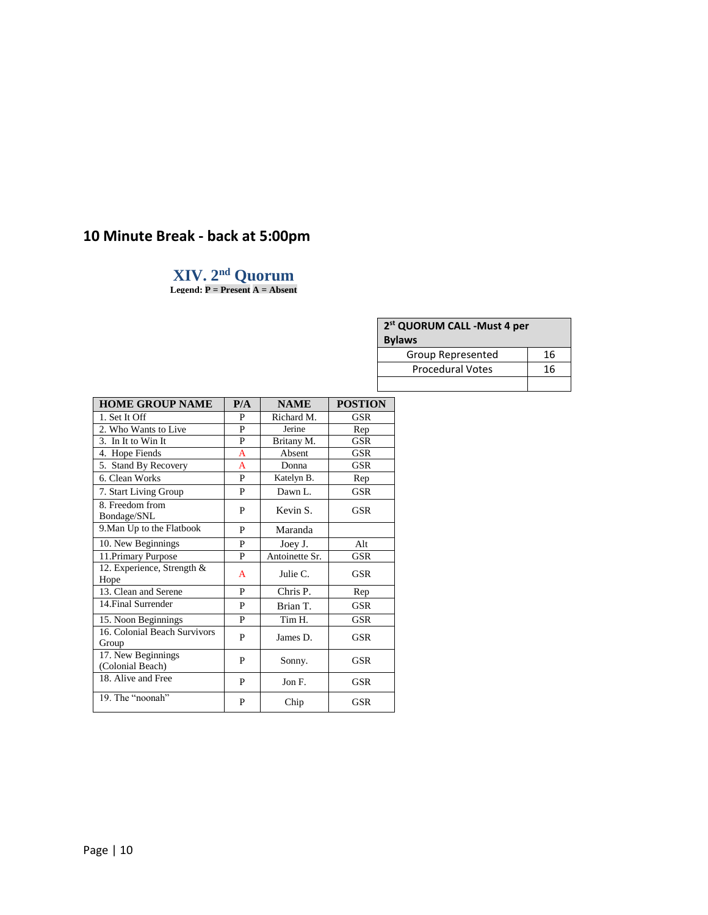# **10 Minute Break - back at 5:00pm**

# **XIV. 2 nd Quorum**

**Legend: P = Present A = Absent**

| 2 <sup>st</sup> QUORUM CALL -Must 4 per<br><b>Bylaws</b> |    |  |  |  |  |
|----------------------------------------------------------|----|--|--|--|--|
| 16<br><b>Group Represented</b>                           |    |  |  |  |  |
| <b>Procedural Votes</b>                                  | 16 |  |  |  |  |

| <b>HOME GROUP NAME</b>                 | P/A | <b>NAME</b>    | <b>POSTION</b> |
|----------------------------------------|-----|----------------|----------------|
| 1. Set It Off                          | P   | Richard M.     | <b>GSR</b>     |
| 2. Who Wants to Live                   | P   | Jerine         | Rep            |
| 3. In It to Win It                     | P   | Britany M.     | GSR            |
| 4. Hope Fiends                         | A   | Absent         | GSR            |
| 5. Stand By Recovery                   | A   | Donna          | <b>GSR</b>     |
| 6. Clean Works                         | P   | Katelyn B.     | Rep            |
| 7. Start Living Group                  | P   | Dawn L.        | <b>GSR</b>     |
| 8. Freedom from<br>Bondage/SNL         | P   | Kevin S.       | <b>GSR</b>     |
| 9. Man Up to the Flatbook              | P   | Maranda        |                |
| 10. New Beginnings                     | P   | Joey J.        | Alt            |
| 11. Primary Purpose                    | P   | Antoinette Sr. | <b>GSR</b>     |
| 12. Experience, Strength &<br>Hope     | A   | Julie C.       | <b>GSR</b>     |
| 13. Clean and Serene                   | P   | Chris P.       | Rep            |
| 14. Final Surrender                    | P   | Brian T.       | <b>GSR</b>     |
| 15. Noon Beginnings                    | P   | Tim H.         | <b>GSR</b>     |
| 16. Colonial Beach Survivors<br>Group  | P   | James D.       | <b>GSR</b>     |
| 17. New Beginnings<br>(Colonial Beach) | P   | Sonny.         | <b>GSR</b>     |
| 18. Alive and Free                     | P   | Jon F.         | <b>GSR</b>     |
| 19. The "noonah"                       | P   | Chip           | <b>GSR</b>     |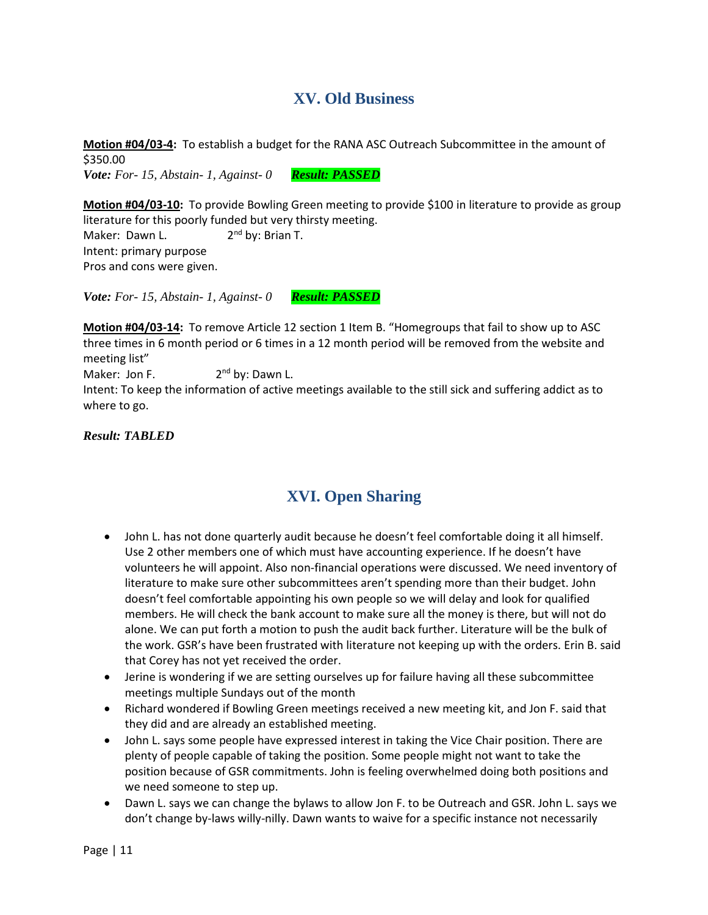# **XV. Old Business**

**Motion #04/03-4:** To establish a budget for the RANA ASC Outreach Subcommittee in the amount of \$350.00 *Vote: For- 15, Abstain- 1, Against- 0 Result: PASSED*

**Motion #04/03-10:** To provide Bowling Green meeting to provide \$100 in literature to provide as group literature for this poorly funded but very thirsty meeting. Maker: Dawn L.  $2<sup>nd</sup>$  by: Brian T.

Intent: primary purpose Pros and cons were given.

*Vote: For- 15, Abstain- 1, Against- 0 Result: PASSED*

**Motion #04/03-14:** To remove Article 12 section 1 Item B. "Homegroups that fail to show up to ASC three times in 6 month period or 6 times in a 12 month period will be removed from the website and meeting list"

Maker: Jon F. 2<sup>nd</sup> by: Dawn L.

Intent: To keep the information of active meetings available to the still sick and suffering addict as to where to go.

*Result: TABLED*

# **XVI. Open Sharing**

- John L. has not done quarterly audit because he doesn't feel comfortable doing it all himself. Use 2 other members one of which must have accounting experience. If he doesn't have volunteers he will appoint. Also non-financial operations were discussed. We need inventory of literature to make sure other subcommittees aren't spending more than their budget. John doesn't feel comfortable appointing his own people so we will delay and look for qualified members. He will check the bank account to make sure all the money is there, but will not do alone. We can put forth a motion to push the audit back further. Literature will be the bulk of the work. GSR's have been frustrated with literature not keeping up with the orders. Erin B. said that Corey has not yet received the order.
- Jerine is wondering if we are setting ourselves up for failure having all these subcommittee meetings multiple Sundays out of the month
- Richard wondered if Bowling Green meetings received a new meeting kit, and Jon F. said that they did and are already an established meeting.
- John L. says some people have expressed interest in taking the Vice Chair position. There are plenty of people capable of taking the position. Some people might not want to take the position because of GSR commitments. John is feeling overwhelmed doing both positions and we need someone to step up.
- Dawn L. says we can change the bylaws to allow Jon F. to be Outreach and GSR. John L. says we don't change by-laws willy-nilly. Dawn wants to waive for a specific instance not necessarily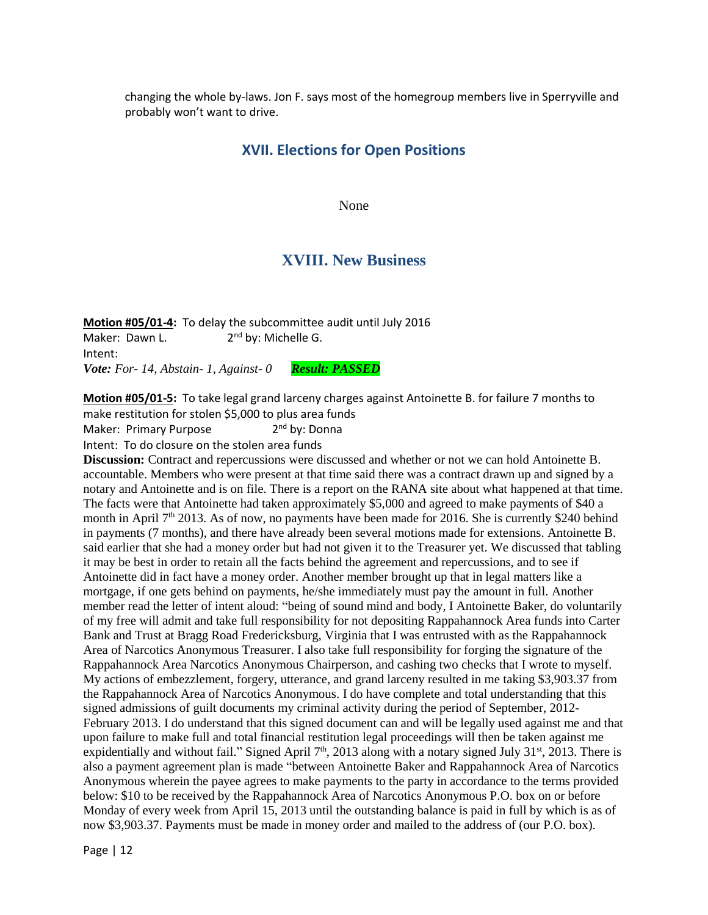changing the whole by-laws. Jon F. says most of the homegroup members live in Sperryville and probably won't want to drive.

## **XVII. Elections for Open Positions**

None

## **XVIII. New Business**

**Motion #05/01-4:** To delay the subcommittee audit until July 2016 Maker: Dawn L.  $2^{nd}$  by: Michelle G. Intent: *Vote: For- 14, Abstain- 1, Against- 0 Result: PASSED*

**Motion #05/01-5:** To take legal grand larceny charges against Antoinette B. for failure 7 months to make restitution for stolen \$5,000 to plus area funds

Maker: Primary Purpose 2 2<sup>nd</sup> by: Donna

Intent: To do closure on the stolen area funds

**Discussion:** Contract and repercussions were discussed and whether or not we can hold Antoinette B. accountable. Members who were present at that time said there was a contract drawn up and signed by a notary and Antoinette and is on file. There is a report on the RANA site about what happened at that time. The facts were that Antoinette had taken approximately \$5,000 and agreed to make payments of \$40 a month in April  $7<sup>th</sup>$  2013. As of now, no payments have been made for 2016. She is currently \$240 behind in payments (7 months), and there have already been several motions made for extensions. Antoinette B. said earlier that she had a money order but had not given it to the Treasurer yet. We discussed that tabling it may be best in order to retain all the facts behind the agreement and repercussions, and to see if Antoinette did in fact have a money order. Another member brought up that in legal matters like a mortgage, if one gets behind on payments, he/she immediately must pay the amount in full. Another member read the letter of intent aloud: "being of sound mind and body, I Antoinette Baker, do voluntarily of my free will admit and take full responsibility for not depositing Rappahannock Area funds into Carter Bank and Trust at Bragg Road Fredericksburg, Virginia that I was entrusted with as the Rappahannock Area of Narcotics Anonymous Treasurer. I also take full responsibility for forging the signature of the Rappahannock Area Narcotics Anonymous Chairperson, and cashing two checks that I wrote to myself. My actions of embezzlement, forgery, utterance, and grand larceny resulted in me taking \$3,903.37 from the Rappahannock Area of Narcotics Anonymous. I do have complete and total understanding that this signed admissions of guilt documents my criminal activity during the period of September, 2012- February 2013. I do understand that this signed document can and will be legally used against me and that upon failure to make full and total financial restitution legal proceedings will then be taken against me expidentially and without fail." Signed April  $7<sup>th</sup>$ , 2013 along with a notary signed July 31<sup>st</sup>, 2013. There is also a payment agreement plan is made "between Antoinette Baker and Rappahannock Area of Narcotics Anonymous wherein the payee agrees to make payments to the party in accordance to the terms provided below: \$10 to be received by the Rappahannock Area of Narcotics Anonymous P.O. box on or before Monday of every week from April 15, 2013 until the outstanding balance is paid in full by which is as of now \$3,903.37. Payments must be made in money order and mailed to the address of (our P.O. box).

Page | 12